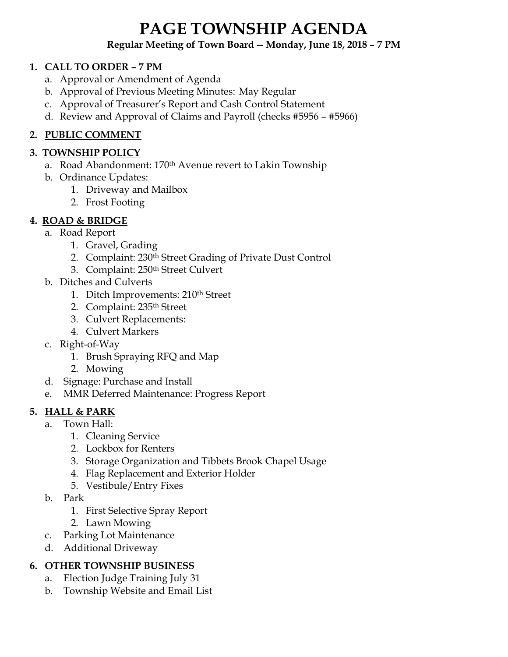# **PAGE TOWNSHIP AGENDA**

#### **Regular Meeting of Town Board -- Monday, June 18, 2018 – 7 PM**

#### **1. CALL TO ORDER – 7 PM**

- a. Approval or Amendment of Agenda
- b. Approval of Previous Meeting Minutes: May Regular
- c. Approval of Treasurer's Report and Cash Control Statement
- d. Review and Approval of Claims and Payroll (checks #5956 #5966)

## **2. PUBLIC COMMENT**

### **3. TOWNSHIP POLICY**

- a. Road Abandonment: 170<sup>th</sup> Avenue revert to Lakin Township
- b. Ordinance Updates:
	- 1. Driveway and Mailbox
	- 2. Frost Footing

### **4. ROAD & BRIDGE**

- a. Road Report
	- 1. Gravel, Grading
	- 2. Complaint: 230th Street Grading of Private Dust Control
	- 3. Complaint: 250th Street Culvert
- b. Ditches and Culverts
	- 1. Ditch Improvements: 210<sup>th</sup> Street
	- 2. Complaint: 235th Street
	- 3. Culvert Replacements:
	- 4. Culvert Markers
- c. Right-of-Way
	- 1. Brush Spraying RFQ and Map
	- 2. Mowing
- d. Signage: Purchase and Install
- e. MMR Deferred Maintenance: Progress Report

### **5. HALL & PARK**

- a. Town Hall:
	- 1. Cleaning Service
	- 2. Lockbox for Renters
	- 3. Storage Organization and Tibbets Brook Chapel Usage
	- 4. Flag Replacement and Exterior Holder
	- 5. Vestibule/Entry Fixes
- b. Park
	- 1. First Selective Spray Report
	- 2. Lawn Mowing
- c. Parking Lot Maintenance
- d. Additional Driveway

### **6. OTHER TOWNSHIP BUSINESS**

- a. Election Judge Training July 31
- b. Township Website and Email List